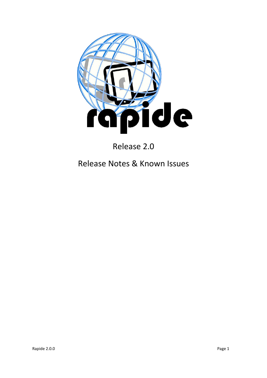

Release 2.0

# Release Notes & Known Issues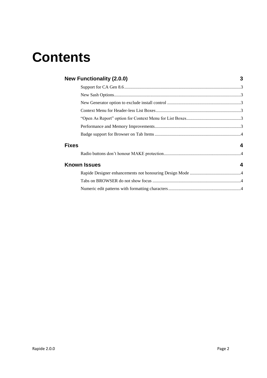# **Contents**

|              | <b>New Functionality (2.0.0)</b> | 3 |
|--------------|----------------------------------|---|
|              |                                  |   |
|              |                                  |   |
|              |                                  |   |
|              |                                  |   |
|              |                                  |   |
|              |                                  |   |
|              |                                  |   |
| <b>Fixes</b> |                                  | 4 |
|              |                                  |   |
|              | <b>Known Issues</b>              | 4 |
|              |                                  |   |
|              |                                  |   |
|              |                                  |   |
|              |                                  |   |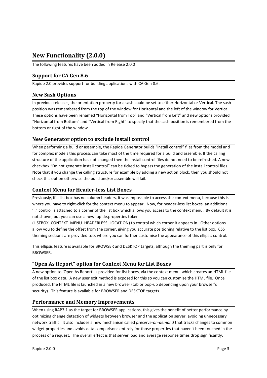# <span id="page-2-0"></span>**New Functionality (2.0.0)**

The following features have been added in Release 2.0.0

### <span id="page-2-1"></span>**Support for CA Gen 8.6**

Rapide 2.0 provides support for building applications with CA Gen 8.6.

#### <span id="page-2-2"></span>**New Sash Options**

In previous releases, the orientation property for a sash could be set to either Horizontal or Vertical. The sash position was remembered from the top of the window for Horizontal and the left of the window for Vertical. These options have been renamed "Horizontal from Top" and "Vertical from Left" and new options provided "Horizontal from Bottom" and "Vertical from Right" to specify that the sash position is remembered from the bottom or right of the window.

#### <span id="page-2-3"></span>**New Generator option to exclude install control**

When performing a build or assemble, the Rapide Generator builds "install control" files from the model and for complex models this process can take most of the time required for a build and assemble. If the calling structure of the application has not changed then the install control files do not need to be refreshed. A new checkbox "Do not generate install control" can be ticked to bypass the generation of the install control files. Note that if you change the calling structure for example by adding a new action block, then you should not check this option otherwise the build and/or assemble will fail.

#### <span id="page-2-4"></span>**Context Menu for Header-less List Boxes**

Previously, if a list box has no column headers, it was impossible to access the context menu, because this is where you have to right-click for the context menu to appear. Now, for header-less list boxes, an additional '…' control is attached to a corner of the list box which allows you access to the context menu. By default it is not shown, but you can use a new rapide.properties token

(LISTBOX\_CONTEXT\_MENU\_HEADERLESS\_LOCATION) to control which corner it appears in. Other options allow you to define the offset from the corner, giving you accurate positioning relative to the list box. CSS theming sections are provided too, where you can further customise the appearance of this ellipsis control.

This ellipsis feature is available for BROWSER and DESKTOP targets, although the theming part is only for BROWSER.

#### <span id="page-2-5"></span>**"Open As Report" option for Context Menu for List Boxes**

A new option to 'Open As Report' is provided for list boxes, via the context menu, which creates an HTML file of the list box data. A new user exit method is exposed for this so you can customise the HTML file. Once produced, the HTML file is launched in a new browser (tab or pop-up depending upon your browser's security). This feature is available for BROWSER and DESKTOP targets.

#### <span id="page-2-6"></span>**Performance and Memory Improvements**

When using RAP3.1 as the target for BROWSER applications, this gives the benefit of better performance by optimizing change detection of widgets between browser and the application server, avoiding unnecessary network traffic. It also includes a new mechanism called *preserve-on-demand* that tracks changes to common widget properties and avoids data comparisons entirely for those properties that haven't been touched in the process of a request. The overall effect is that server load and average response times drop significantly.